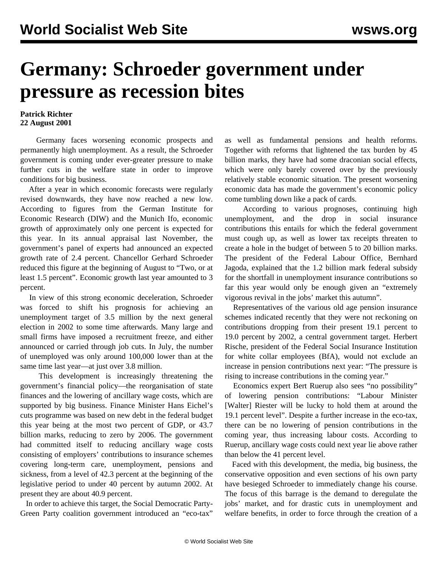## **Germany: Schroeder government under pressure as recession bites**

## **Patrick Richter 22 August 2001**

 Germany faces worsening economic prospects and permanently high unemployment. As a result, the Schroeder government is coming under ever-greater pressure to make further cuts in the welfare state in order to improve conditions for big business.

 After a year in which economic forecasts were regularly revised downwards, they have now reached a new low. According to figures from the German Institute for Economic Research (DIW) and the Munich Ifo, economic growth of approximately only one percent is expected for this year. In its annual appraisal last November, the government's panel of experts had announced an expected growth rate of 2.4 percent. Chancellor Gerhard Schroeder reduced this figure at the beginning of August to "Two, or at least 1.5 percent". Economic growth last year amounted to 3 percent.

 In view of this strong economic deceleration, Schroeder was forced to shift his prognosis for achieving an unemployment target of 3.5 million by the next general election in 2002 to some time afterwards. Many large and small firms have imposed a recruitment freeze, and either announced or carried through job cuts. In July, the number of unemployed was only around 100,000 lower than at the same time last year—at just over 3.8 million.

 This development is increasingly threatening the government's financial policy—the reorganisation of state finances and the lowering of ancillary wage costs, which are supported by big business. Finance Minister Hans Eichel's cuts programme was based on new debt in the federal budget this year being at the most two percent of GDP, or 43.7 billion marks, reducing to zero by 2006. The government had committed itself to reducing ancillary wage costs consisting of employers' contributions to insurance schemes covering long-term care, unemployment, pensions and sickness, from a level of 42.3 percent at the beginning of the legislative period to under 40 percent by autumn 2002. At present they are about 40.9 percent.

 In order to achieve this target, the Social Democratic Party-Green Party coalition government introduced an "eco-tax" as well as fundamental pensions and health reforms. Together with reforms that lightened the tax burden by 45 billion marks, they have had some draconian social effects, which were only barely covered over by the previously relatively stable economic situation. The present worsening economic data has made the government's economic policy come tumbling down like a pack of cards.

 According to various prognoses, continuing high unemployment, and the drop in social insurance contributions this entails for which the federal government must cough up, as well as lower tax receipts threaten to create a hole in the budget of between 5 to 20 billion marks. The president of the Federal Labour Office, Bernhard Jagoda, explained that the 1.2 billion mark federal subsidy for the shortfall in unemployment insurance contributions so far this year would only be enough given an "extremely vigorous revival in the jobs' market this autumn".

 Representatives of the various old age pension insurance schemes indicated recently that they were not reckoning on contributions dropping from their present 19.1 percent to 19.0 percent by 2002, a central government target. Herbert Rische, president of the Federal Social Insurance Institution for white collar employees (BfA), would not exclude an increase in pension contributions next year: "The pressure is rising to increase contributions in the coming year."

 Economics expert Bert Ruerup also sees "no possibility" of lowering pension contributions: "Labour Minister [Walter] Riester will be lucky to hold them at around the 19.1 percent level". Despite a further increase in the eco-tax, there can be no lowering of pension contributions in the coming year, thus increasing labour costs. According to Ruerup, ancillary wage costs could next year lie above rather than below the 41 percent level.

 Faced with this development, the media, big business, the conservative opposition and even sections of his own party have besieged Schroeder to immediately change his course. The focus of this barrage is the demand to deregulate the jobs' market, and for drastic cuts in unemployment and welfare benefits, in order to force through the creation of a